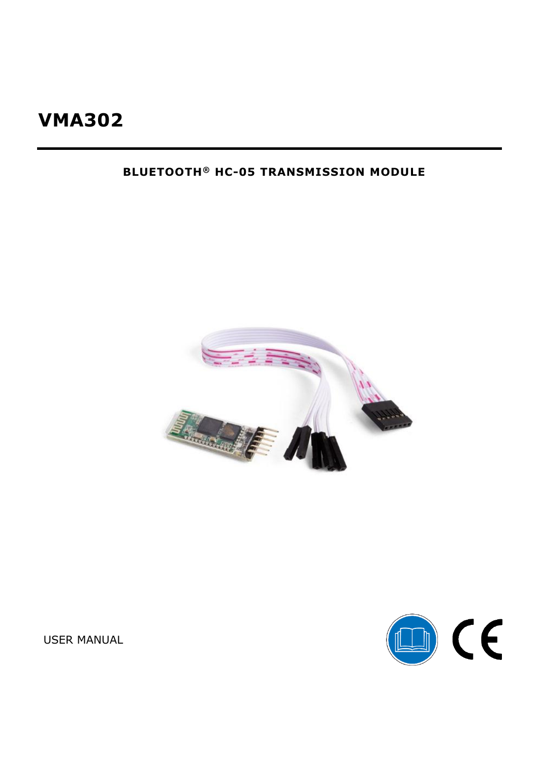## **BLUETOOTH® HC-05 TRANSMISSION MODULE**





**USER MANUAL**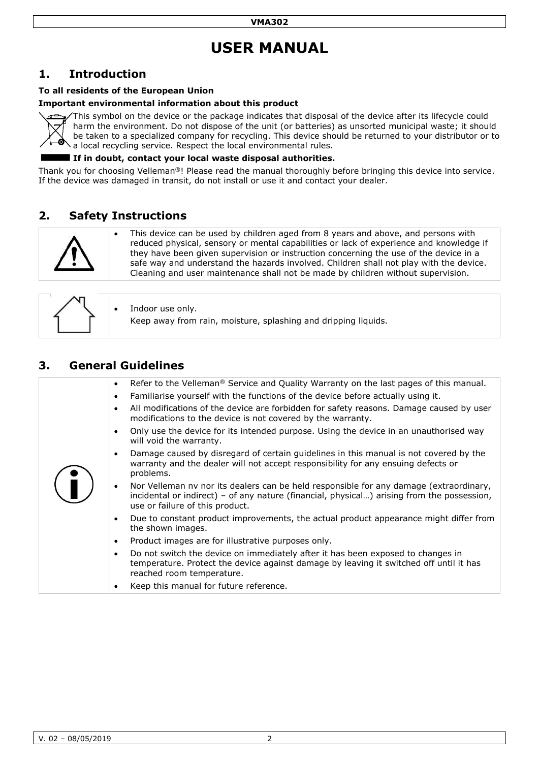# **USER MANUAL**

### **1. Introduction**

#### **To all residents of the European Union**

#### **Important environmental information about this product**



This symbol on the device or the package indicates that disposal of the device after its lifecycle could harm the environment. Do not dispose of the unit (or batteries) as unsorted municipal waste; it should be taken to a specialized company for recycling. This device should be returned to your distributor or to a local recycling service. Respect the local environmental rules.

#### **If in doubt, contact your local waste disposal authorities.**

Thank you for choosing Velleman®! Please read the manual thoroughly before bringing this device into service. If the device was damaged in transit, do not install or use it and contact your dealer.

### **2. Safety Instructions**



 This device can be used by children aged from 8 years and above, and persons with reduced physical, sensory or mental capabilities or lack of experience and knowledge if they have been given supervision or instruction concerning the use of the device in a safe way and understand the hazards involved. Children shall not play with the device. Cleaning and user maintenance shall not be made by children without supervision.

| $\bullet$ Indoor use only.<br>Keep away from rain, moisture, splashing and dripping liquids. |
|----------------------------------------------------------------------------------------------|
|                                                                                              |

### **3. General Guidelines**

|  | Refer to the Velleman <sup>®</sup> Service and Quality Warranty on the last pages of this manual.<br>$\bullet$                                                                                                                       |
|--|--------------------------------------------------------------------------------------------------------------------------------------------------------------------------------------------------------------------------------------|
|  | Familiarise yourself with the functions of the device before actually using it.<br>$\bullet$                                                                                                                                         |
|  | All modifications of the device are forbidden for safety reasons. Damage caused by user<br>$\bullet$<br>modifications to the device is not covered by the warranty.                                                                  |
|  | Only use the device for its intended purpose. Using the device in an unauthorised way<br>$\bullet$<br>will void the warranty.                                                                                                        |
|  | Damage caused by disregard of certain guidelines in this manual is not covered by the<br>$\bullet$<br>warranty and the dealer will not accept responsibility for any ensuing defects or<br>problems.                                 |
|  | Nor Velleman nv nor its dealers can be held responsible for any damage (extraordinary,<br>$\bullet$<br>incidental or indirect) - of any nature (financial, physical) arising from the possession,<br>use or failure of this product. |
|  | Due to constant product improvements, the actual product appearance might differ from<br>$\bullet$<br>the shown images.                                                                                                              |
|  | Product images are for illustrative purposes only.<br>$\bullet$                                                                                                                                                                      |
|  | Do not switch the device on immediately after it has been exposed to changes in<br>$\bullet$<br>temperature. Protect the device against damage by leaving it switched off until it has<br>reached room temperature.                  |
|  | Keep this manual for future reference.<br>$\bullet$                                                                                                                                                                                  |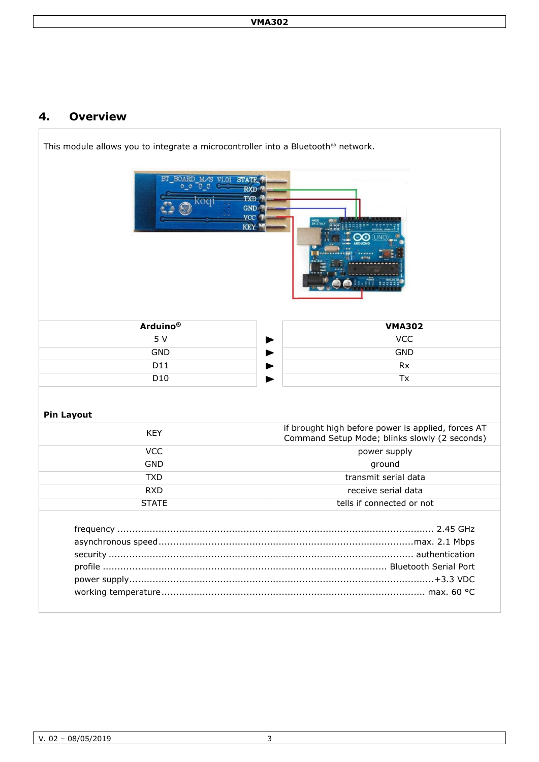### **4. Overview**

| This module allows you to integrate a microcontroller into a Bluetooth® network.<br>BT BOARD M/S V1.01<br><b>STATE</b><br>0000<br><b>RXD</b><br><b>TXD</b><br>coal<br><b>GND</b><br><b>VCC</b><br><b>KEY</b> |                                                                                                     |  |  |
|--------------------------------------------------------------------------------------------------------------------------------------------------------------------------------------------------------------|-----------------------------------------------------------------------------------------------------|--|--|
| <b>Arduino®</b>                                                                                                                                                                                              | <b>VMA302</b>                                                                                       |  |  |
| 5 V                                                                                                                                                                                                          | <b>VCC</b>                                                                                          |  |  |
| <b>GND</b>                                                                                                                                                                                                   | <b>GND</b>                                                                                          |  |  |
| D11                                                                                                                                                                                                          | <b>Rx</b>                                                                                           |  |  |
| D10                                                                                                                                                                                                          | Tx                                                                                                  |  |  |
| <b>Pin Layout</b><br><b>KEY</b>                                                                                                                                                                              | if brought high before power is applied, forces AT<br>Command Setup Mode; blinks slowly (2 seconds) |  |  |
| <b>VCC</b>                                                                                                                                                                                                   | power supply                                                                                        |  |  |
| <b>GND</b>                                                                                                                                                                                                   | ground                                                                                              |  |  |
| <b>TXD</b>                                                                                                                                                                                                   | transmit serial data                                                                                |  |  |
| <b>RXD</b>                                                                                                                                                                                                   | receive serial data                                                                                 |  |  |
| <b>STATE</b>                                                                                                                                                                                                 | tells if connected or not                                                                           |  |  |
|                                                                                                                                                                                                              | . 2.45 GHz                                                                                          |  |  |